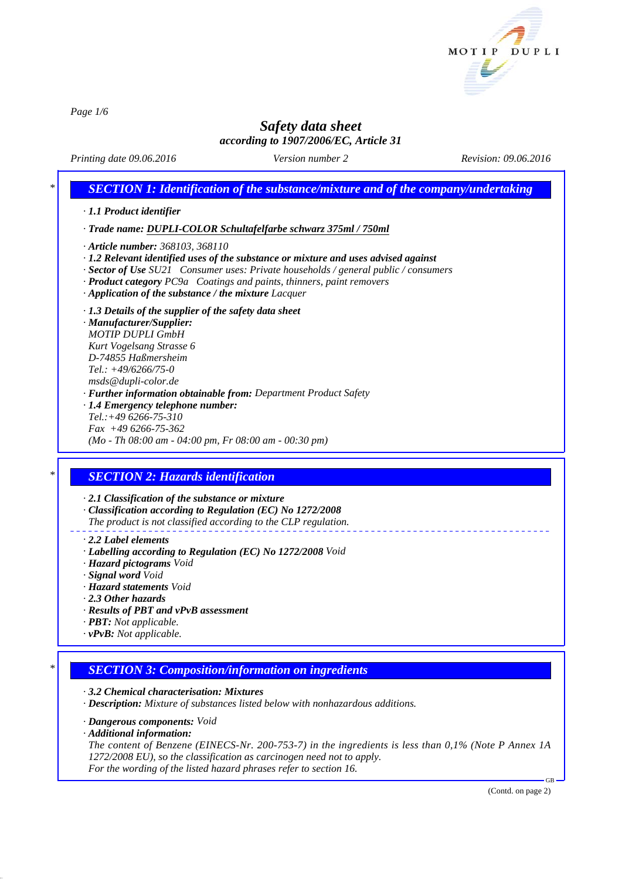

*Page 1/6*

# *Safety data sheet according to 1907/2006/EC, Article 31*

*Printing date 09.06.2016 Revision: 09.06.2016 Version number 2*

# *\* SECTION 1: Identification of the substance/mixture and of the company/undertaking · 1.1 Product identifier · Trade name: DUPLI-COLOR Schultafelfarbe schwarz 375ml / 750ml · Article number: 368103, 368110 · 1.2 Relevant identified uses of the substance or mixture and uses advised against · Sector of Use SU21 Consumer uses: Private households / general public / consumers · Product category PC9a Coatings and paints, thinners, paint removers · Application of the substance / the mixture Lacquer · 1.3 Details of the supplier of the safety data sheet · Manufacturer/Supplier: MOTIP DUPLI GmbH Kurt Vogelsang Strasse 6 D-74855 Haßmersheim Tel.: +49/6266/75-0 msds@dupli-color.de · Further information obtainable from: Department Product Safety · 1.4 Emergency telephone number: Tel.:+49 6266-75-310 Fax +49 6266-75-362 (Mo - Th 08:00 am - 04:00 pm, Fr 08:00 am - 00:30 pm) \* SECTION 2: Hazards identification · 2.1 Classification of the substance or mixture · Classification according to Regulation (EC) No 1272/2008 The product is not classified according to the CLP regulation. · 2.2 Label elements · Labelling according to Regulation (EC) No 1272/2008 Void · Hazard pictograms Void · Signal word Void · Hazard statements Void · 2.3 Other hazards · Results of PBT and vPvB assessment · PBT: Not applicable. · vPvB: Not applicable. \* SECTION 3: Composition/information on ingredients · 3.2 Chemical characterisation: Mixtures · Description: Mixture of substances listed below with nonhazardous additions.*

*· Dangerous components: Void*

*· Additional information:*

*The content of Benzene (EINECS-Nr. 200-753-7) in the ingredients is less than 0,1% (Note P Annex 1A 1272/2008 EU), so the classification as carcinogen need not to apply. For the wording of the listed hazard phrases refer to section 16.*

(Contd. on page 2)

GB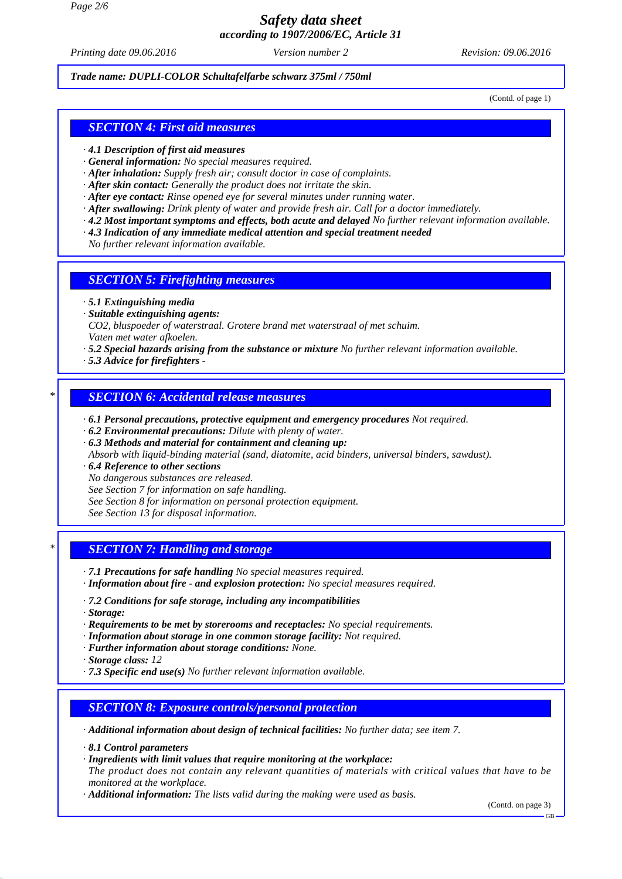*Page 2/6*

# *Safety data sheet according to 1907/2006/EC, Article 31*

*Printing date 09.06.2016 Revision: 09.06.2016 Version number 2*

#### *Trade name: DUPLI-COLOR Schultafelfarbe schwarz 375ml / 750ml*

(Contd. of page 1)

### *SECTION 4: First aid measures*

- *· 4.1 Description of first aid measures*
- *· General information: No special measures required.*
- *· After inhalation: Supply fresh air; consult doctor in case of complaints.*
- *· After skin contact: Generally the product does not irritate the skin.*
- *· After eye contact: Rinse opened eye for several minutes under running water.*
- *· After swallowing: Drink plenty of water and provide fresh air. Call for a doctor immediately.*
- *· 4.2 Most important symptoms and effects, both acute and delayed No further relevant information available.*
- *· 4.3 Indication of any immediate medical attention and special treatment needed*
- *No further relevant information available.*

#### *SECTION 5: Firefighting measures*

- *· 5.1 Extinguishing media*
- *· Suitable extinguishing agents: CO2, bluspoeder of waterstraal. Grotere brand met waterstraal of met schuim. Vaten met water afkoelen.*
- *· 5.2 Special hazards arising from the substance or mixture No further relevant information available.*
- *· 5.3 Advice for firefighters*

## *\* SECTION 6: Accidental release measures*

- *· 6.1 Personal precautions, protective equipment and emergency procedures Not required.*
- *· 6.2 Environmental precautions: Dilute with plenty of water.*
- *· 6.3 Methods and material for containment and cleaning up: Absorb with liquid-binding material (sand, diatomite, acid binders, universal binders, sawdust).*
- *· 6.4 Reference to other sections*
- *No dangerous substances are released.*
- *See Section 7 for information on safe handling.*
- *See Section 8 for information on personal protection equipment.*
- *See Section 13 for disposal information.*

## *\* SECTION 7: Handling and storage*

- *· 7.1 Precautions for safe handling No special measures required.*
- *· Information about fire and explosion protection: No special measures required.*
- *· 7.2 Conditions for safe storage, including any incompatibilities*
- *· Storage:*
- *· Requirements to be met by storerooms and receptacles: No special requirements.*
- *· Information about storage in one common storage facility: Not required.*
- *· Further information about storage conditions: None.*

*· Storage class: 12*

*· 7.3 Specific end use(s) No further relevant information available.*

## *SECTION 8: Exposure controls/personal protection*

*· Additional information about design of technical facilities: No further data; see item 7.*

*· 8.1 Control parameters*

- *· Ingredients with limit values that require monitoring at the workplace:*
- *The product does not contain any relevant quantities of materials with critical values that have to be monitored at the workplace.*

*· Additional information: The lists valid during the making were used as basis.*

(Contd. on page 3)

GB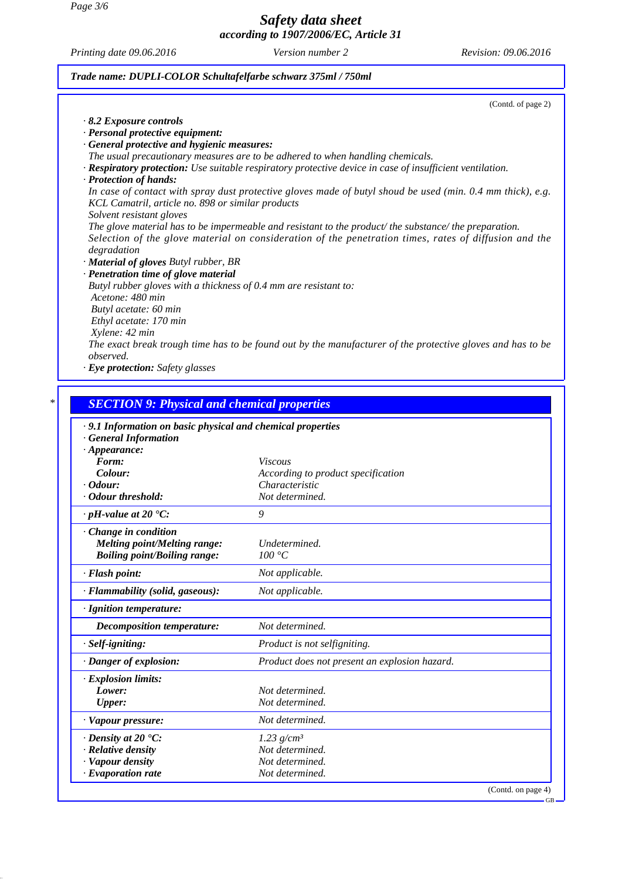*Page 3/6*

## *Safety data sheet according to 1907/2006/EC, Article 31*

*Printing date 09.06.2016 Revision: 09.06.2016 Version number 2*

### *Trade name: DUPLI-COLOR Schultafelfarbe schwarz 375ml / 750ml*

(Contd. of page 2)

| $\cdot$ 8.2 Exposure controls                     |                                                                                                                 |
|---------------------------------------------------|-----------------------------------------------------------------------------------------------------------------|
| · Personal protective equipment:                  |                                                                                                                 |
| · General protective and hygienic measures:       |                                                                                                                 |
|                                                   | The usual precautionary measures are to be adhered to when handling chemicals.                                  |
|                                                   | $\cdot$ Respiratory protection: Use suitable respiratory protective device in case of insufficient ventilation. |
| · Protection of hands:                            |                                                                                                                 |
| KCL Camatril, article no. 898 or similar products | In case of contact with spray dust protective gloves made of butyl shoud be used (min. 0.4 mm thick), e.g.      |
| Solvent resistant gloves                          |                                                                                                                 |
|                                                   | The glove material has to be impermeable and resistant to the product/ the substance/ the preparation.          |
|                                                   | Selection of the glove material on consideration of the penetration times, rates of diffusion and the           |
| degradation                                       |                                                                                                                 |
| · <b>Material of gloves</b> Butyl rubber, BR      |                                                                                                                 |
| · Penetration time of glove material              |                                                                                                                 |
|                                                   | Butyl rubber gloves with a thickness of 0.4 mm are resistant to:                                                |
| Acetone: 480 min                                  |                                                                                                                 |
| Butyl acetate: 60 min                             |                                                                                                                 |
| Ethyl acetate: 170 min                            |                                                                                                                 |
| Xylene: 42 min                                    |                                                                                                                 |
|                                                   | The exact break trough time has to be found out by the manufacturer of the protective gloves and has to be      |
| <i>observed.</i>                                  |                                                                                                                 |
| $\cdot$ Eye protection: Safety glasses            |                                                                                                                 |

# *\* SECTION 9: Physical and chemical properties*

| .9.1 Information on basic physical and chemical properties |                                               |                    |
|------------------------------------------------------------|-----------------------------------------------|--------------------|
| <b>General Information</b>                                 |                                               |                    |
| $\cdot$ Appearance:                                        |                                               |                    |
| Form:                                                      | <i>Viscous</i>                                |                    |
| Colour:                                                    | According to product specification            |                    |
| $\cdot$ Odour:                                             | Characteristic                                |                    |
| · Odour threshold:                                         | Not determined.                               |                    |
| $\cdot$ pH-value at 20 $\textdegree$ C:                    | 9                                             |                    |
| Change in condition                                        |                                               |                    |
| <b>Melting point/Melting range:</b>                        | Undetermined.                                 |                    |
| <b>Boiling point/Boiling range:</b>                        | 100 °C                                        |                    |
| · Flash point:                                             | Not applicable.                               |                    |
| · Flammability (solid, gaseous):                           | Not applicable.                               |                    |
| · Ignition temperature:                                    |                                               |                    |
| Decomposition temperature:                                 | Not determined.                               |                    |
| · Self-igniting:                                           | Product is not selfigniting.                  |                    |
| · Danger of explosion:                                     | Product does not present an explosion hazard. |                    |
| · Explosion limits:                                        |                                               |                    |
| Lower:                                                     | Not determined.                               |                    |
| <b>Upper:</b>                                              | Not determined.                               |                    |
| · Vapour pressure:                                         | Not determined.                               |                    |
| $\cdot$ Density at 20 $\cdot$ C:                           | $1.23$ g/cm <sup>3</sup>                      |                    |
| $\cdot$ Relative density                                   | Not determined.                               |                    |
| · Vapour density                                           | Not determined.                               |                    |
| · Evaporation rate                                         | Not determined.                               |                    |
|                                                            |                                               | (Contd. on page 4) |
|                                                            |                                               | $GB -$             |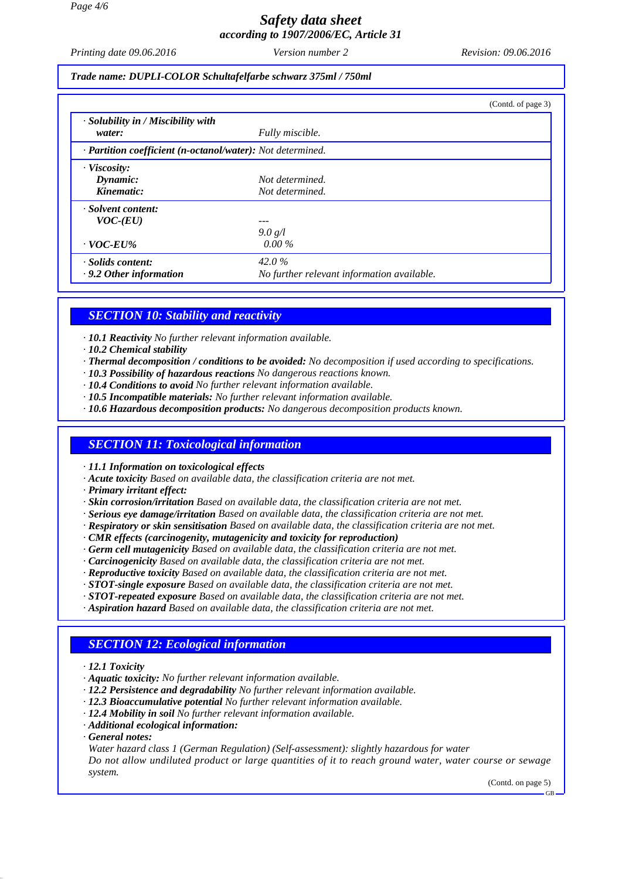# *Safety data sheet according to 1907/2006/EC, Article 31*

*Printing date 09.06.2016 Revision: 09.06.2016 Version number 2*

*Trade name: DUPLI-COLOR Schultafelfarbe schwarz 375ml / 750ml*

|                                                            |                                                     | (Contd. of page 3) |  |
|------------------------------------------------------------|-----------------------------------------------------|--------------------|--|
| $\cdot$ Solubility in / Miscibility with<br>water:         | Fully miscible.                                     |                    |  |
| · Partition coefficient (n-octanol/water): Not determined. |                                                     |                    |  |
| $\cdot$ Viscosity:<br>Dynamic:<br>Kinematic:               | Not determined.<br>Not determined.                  |                    |  |
| · Solvent content:<br>$VOC$ - $(EU)$<br>$\cdot$ VOC-EU%    | 9.0 g/l<br>$0.00\%$                                 |                    |  |
| · Solids content:<br>$\cdot$ 9.2 Other information         | 42.0%<br>No further relevant information available. |                    |  |

## *SECTION 10: Stability and reactivity*

*· 10.1 Reactivity No further relevant information available.*

- *· 10.2 Chemical stability*
- *· Thermal decomposition / conditions to be avoided: No decomposition if used according to specifications.*
- *· 10.3 Possibility of hazardous reactions No dangerous reactions known.*
- *· 10.4 Conditions to avoid No further relevant information available.*
- *· 10.5 Incompatible materials: No further relevant information available.*
- *· 10.6 Hazardous decomposition products: No dangerous decomposition products known.*

#### *SECTION 11: Toxicological information*

*· 11.1 Information on toxicological effects*

- *· Acute toxicity Based on available data, the classification criteria are not met.*
- *· Primary irritant effect:*
- *· Skin corrosion/irritation Based on available data, the classification criteria are not met.*
- *· Serious eye damage/irritation Based on available data, the classification criteria are not met.*
- *· Respiratory or skin sensitisation Based on available data, the classification criteria are not met.*
- *· CMR effects (carcinogenity, mutagenicity and toxicity for reproduction)*
- *· Germ cell mutagenicity Based on available data, the classification criteria are not met.*
- *· Carcinogenicity Based on available data, the classification criteria are not met.*
- *· Reproductive toxicity Based on available data, the classification criteria are not met.*
- *· STOT-single exposure Based on available data, the classification criteria are not met.*
- *· STOT-repeated exposure Based on available data, the classification criteria are not met.*
- *· Aspiration hazard Based on available data, the classification criteria are not met.*

#### *SECTION 12: Ecological information*

- *· 12.1 Toxicity*
- *· Aquatic toxicity: No further relevant information available.*
- *· 12.2 Persistence and degradability No further relevant information available.*
- *· 12.3 Bioaccumulative potential No further relevant information available.*
- *· 12.4 Mobility in soil No further relevant information available.*
- *· Additional ecological information:*
- *· General notes:*

*Water hazard class 1 (German Regulation) (Self-assessment): slightly hazardous for water Do not allow undiluted product or large quantities of it to reach ground water, water course or sewage system.*

(Contd. on page 5)

GB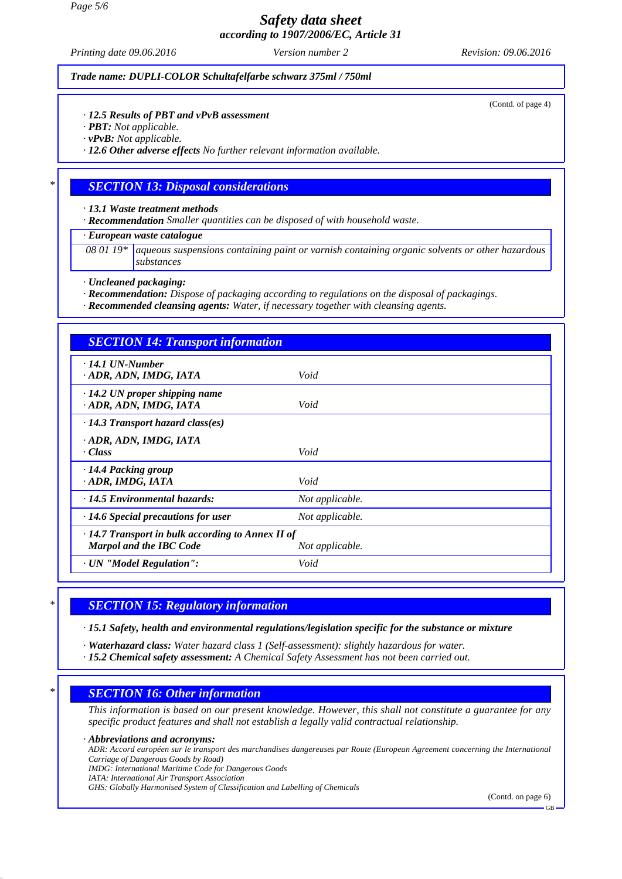*Page 5/6*

## *Safety data sheet according to 1907/2006/EC, Article 31*

*Printing date 09.06.2016 Revision: 09.06.2016 Version number 2*

*Trade name: DUPLI-COLOR Schultafelfarbe schwarz 375ml / 750ml*

(Contd. of page 4)

#### *· 12.5 Results of PBT and vPvB assessment*

*· PBT: Not applicable.*

*· vPvB: Not applicable.*

*· 12.6 Other adverse effects No further relevant information available.*

#### *\* SECTION 13: Disposal considerations*

*· 13.1 Waste treatment methods*

*· Recommendation Smaller quantities can be disposed of with household waste.*

*· European waste catalogue*

*08 01 19\* aqueous suspensions containing paint or varnish containing organic solvents or other hazardous substances*

*· Uncleaned packaging:*

*· Recommendation: Dispose of packaging according to regulations on the disposal of packagings.*

*· Recommended cleansing agents: Water, if necessary together with cleansing agents.*

| <b>SECTION 14: Transport information</b>                                                                     |                 |  |
|--------------------------------------------------------------------------------------------------------------|-----------------|--|
| $\cdot$ 14.1 UN-Number<br>· ADR, ADN, IMDG, IATA                                                             | Void            |  |
| $\cdot$ 14.2 UN proper shipping name<br>· ADR, ADN, IMDG, IATA                                               | Void            |  |
| $\cdot$ 14.3 Transport hazard class(es)                                                                      |                 |  |
| · ADR, ADN, IMDG, IATA<br>· Class                                                                            | Void            |  |
| $\cdot$ 14.4 Packing group<br>ADR, IMDG, IATA                                                                | Void            |  |
| $\cdot$ 14.5 Environmental hazards:                                                                          | Not applicable. |  |
| $\cdot$ 14.6 Special precautions for user                                                                    | Not applicable. |  |
| $\cdot$ 14.7 Transport in bulk according to Annex II of<br><b>Marpol and the IBC Code</b><br>Not applicable. |                 |  |
| · UN "Model Regulation":                                                                                     | Void            |  |
|                                                                                                              |                 |  |

#### *\* SECTION 15: Regulatory information*

*· 15.1 Safety, health and environmental regulations/legislation specific for the substance or mixture*

*· Waterhazard class: Water hazard class 1 (Self-assessment): slightly hazardous for water.*

*· 15.2 Chemical safety assessment: A Chemical Safety Assessment has not been carried out.*

#### *\* SECTION 16: Other information*

*This information is based on our present knowledge. However, this shall not constitute a guarantee for any specific product features and shall not establish a legally valid contractual relationship.*

#### *· Abbreviations and acronyms:*

*ADR: Accord européen sur le transport des marchandises dangereuses par Route (European Agreement concerning the International Carriage of Dangerous Goods by Road)*

*IMDG: International Maritime Code for Dangerous Goods*

*IATA: International Air Transport Association*

*GHS: Globally Harmonised System of Classification and Labelling of Chemicals*

(Contd. on page 6)